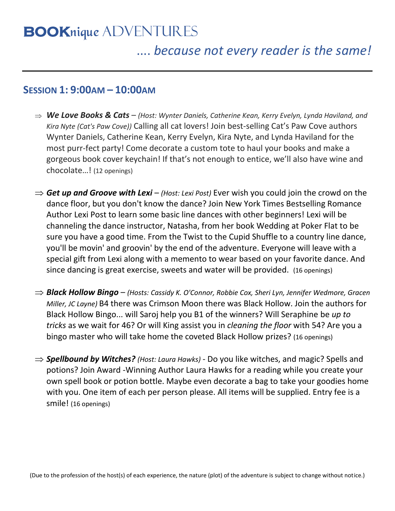# **BOOK***nique* ADVENTURES

## .... *because not every reader is the same!*

### **SESSION 1: 9:00AM – 10:00AM**

- *We Love Books & Cats (Host: Wynter Daniels, Catherine Kean, Kerry Evelyn, Lynda Haviland, and Kira Nyte (Cat's Paw Cove))* Calling all cat lovers! Join best-selling Cat's Paw Cove authors Wynter Daniels, Catherine Kean, Kerry Evelyn, Kira Nyte, and Lynda Haviland for the most purr-fect party! Come decorate a custom tote to haul your books and make a gorgeous book cover keychain! If that's not enough to entice, we'll also have wine and chocolate…! (12 openings)
- $\Rightarrow$  Get up and Groove with Lexi *(Host: Lexi Post)* Ever wish you could join the crowd on the dance floor, but you don't know the dance? Join New York Times Bestselling Romance Author Lexi Post to learn some basic line dances with other beginners! Lexi will be channeling the dance instructor, Natasha, from her book Wedding at Poker Flat to be sure you have a good time. From the Twist to the Cupid Shuffle to a country line dance, you'll be movin' and groovin' by the end of the adventure. Everyone will leave with a special gift from Lexi along with a memento to wear based on your favorite dance. And since dancing is great exercise, sweets and water will be provided. (16 openings)
- *Black Hollow Bingo (Hosts: Cassidy K. O'Connor, Robbie Cox, Sheri Lyn, Jennifer Wedmore, Gracen Miller, JC Layne)* B4 there was Crimson Moon there was Black Hollow. Join the authors for Black Hollow Bingo... will Saroj help you B1 of the winners? Will Seraphine be *up to tricks* as we wait for 46? Or will King assist you in *cleaning the floor* with 54? Are you a bingo master who will take home the coveted Black Hollow prizes? (16 openings)
- ⇒ **Spellbound by Witches?** (Host: Laura Hawks) Do you like witches, and magic? Spells and potions? Join Award -Winning Author Laura Hawks for a reading while you create your own spell book or potion bottle. Maybe even decorate a bag to take your goodies home with you. One item of each per person please. All items will be supplied. Entry fee is a smile! (16 openings)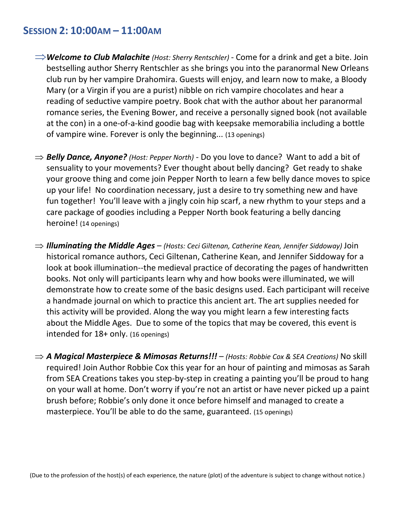#### **SESSION 2: 10:00AM – 11:00AM**

- *Welcome to Club Malachite (Host: Sherry Rentschler)*  Come for a drink and get a bite. Join bestselling author Sherry Rentschler as she brings you into the paranormal New Orleans club run by her vampire Drahomira. Guests will enjoy, and learn now to make, a Bloody Mary (or a Virgin if you are a purist) nibble on rich vampire chocolates and hear a reading of seductive vampire poetry. Book chat with the author about her paranormal romance series, the Evening Bower, and receive a personally signed book (not available at the con) in a one-of-a-kind goodie bag with keepsake memorabilia including a bottle of vampire wine. Forever is only the beginning... (13 openings)
- *Belly Dance, Anyone? (Host: Pepper North)* Do you love to dance? Want to add a bit of sensuality to your movements? Ever thought about belly dancing? Get ready to shake your groove thing and come join Pepper North to learn a few belly dance moves to spice up your life! No coordination necessary, just a desire to try something new and have fun together! You'll leave with a jingly coin hip scarf, a new rhythm to your steps and a care package of goodies including a Pepper North book featuring a belly dancing heroine! (14 openings)
- *Illuminating the Middle Ages (Hosts: Ceci Giltenan, Catherine Kean, Jennifer Siddoway)* Join historical romance authors, Ceci Giltenan, Catherine Kean, and Jennifer Siddoway for a look at book illumination--the medieval practice of decorating the pages of handwritten books. Not only will participants learn why and how books were illuminated, we will demonstrate how to create some of the basic designs used. Each participant will receive a handmade journal on which to practice this ancient art. The art supplies needed for this activity will be provided. Along the way you might learn a few interesting facts about the Middle Ages. Due to some of the topics that may be covered, this event is intended for 18+ only. (16 openings)
- *A Magical Masterpiece & Mimosas Returns!!! (Hosts: Robbie Cox & SEA Creations)* No skill required! Join Author Robbie Cox this year for an hour of painting and mimosas as Sarah from SEA Creations takes you step-by-step in creating a painting you'll be proud to hang on your wall at home. Don't worry if you're not an artist or have never picked up a paint brush before; Robbie's only done it once before himself and managed to create a masterpiece. You'll be able to do the same, guaranteed. (15 openings)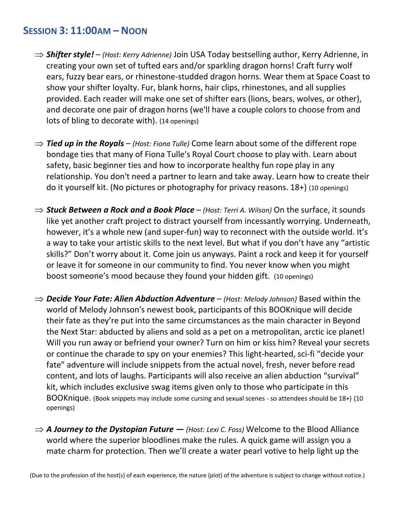#### **SESSION 3: 11:00AM – NOON**

- *Shifter style! (Host: Kerry Adrienne)* Join USA Today bestselling author, Kerry Adrienne, in creating your own set of tufted ears and/or sparkling dragon horns! Craft furry wolf ears, fuzzy bear ears, or rhinestone-studded dragon horns. Wear them at Space Coast to show your shifter loyalty. Fur, blank horns, hair clips, rhinestones, and all supplies provided. Each reader will make one set of shifter ears (lions, bears, wolves, or other), and decorate one pair of dragon horns (we'll have a couple colors to choose from and lots of bling to decorate with). (14 openings)
- $\Rightarrow$  **Tied up in the Royals** *(Host: Fiona Tulle)* Come learn about some of the different rope bondage ties that many of Fiona Tulle's Royal Court choose to play with. Learn about safety, basic beginner ties and how to incorporate healthy fun rope play in any relationship. You don't need a partner to learn and take away. Learn how to create their do it yourself kit. (No pictures or photography for privacy reasons. 18+) (10 openings)
- *Stuck Between a Rock and a Book Place (Host: Terri A. Wilson)* On the surface, it sounds like yet another craft project to distract yourself from incessantly worrying. Underneath, however, it's a whole new (and super-fun) way to reconnect with the outside world. It's a way to take your artistic skills to the next level. But what if you don't have any "artistic skills?" Don't worry about it. Come join us anyways. Paint a rock and keep it for yourself or leave it for someone in our community to find. You never know when you might boost someone's mood because they found your hidden gift. (10 openings)
- *Decide Your Fate: Alien Abduction Adventure (Host: Melody Johnson)* Based within the world of Melody Johnson's newest book, participants of this BOOKnique will decide their fate as they're put into the same circumstances as the main character in Beyond the Next Star: abducted by aliens and sold as a pet on a metropolitan, arctic ice planet! Will you run away or befriend your owner? Turn on him or kiss him? Reveal your secrets or continue the charade to spy on your enemies? This light-hearted, sci-fi "decide your fate" adventure will include snippets from the actual novel, fresh, never before read content, and lots of laughs. Participants will also receive an alien abduction "survival" kit, which includes exclusive swag items given only to those who participate in this BOOKnique. (Book snippets may include some cursing and sexual scenes - so attendees should be 18+) (10 openings)
- $\Rightarrow$  **A Journey to the Dystopian Future** − (Host: Lexi C. Foss) Welcome to the Blood Alliance world where the superior bloodlines make the rules. A quick game will assign you a mate charm for protection. Then we'll create a water pearl votive to help light up the